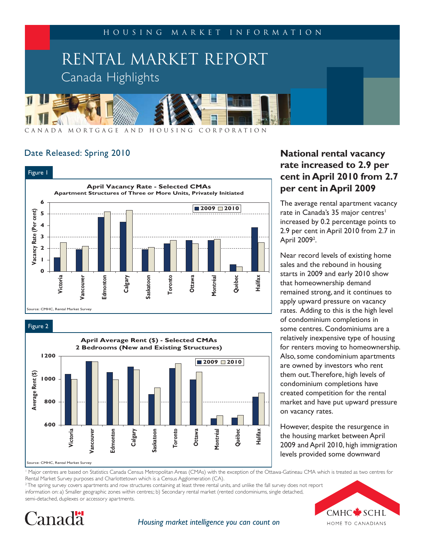

### Date Released: Spring 2010



Figure 2



# **National rental vacancy rate increased to 2.9 per cent in April 2010 from 2.7 per cent in April 2009**

The average rental apartment vacancy rate in Canada's 35 major centres<sup>1</sup> increased by 0.2 percentage points to 2.9 per cent in April 2010 from 2.7 in April 2009<sup>2</sup>.

Near record levels of existing home sales and the rebound in housing starts in 2009 and early 2010 show that homeownership demand remained strong, and it continues to apply upward pressure on vacancy rates. Adding to this is the high level of condominium completions in some centres. Condominiums are a relatively inexpensive type of housing for renters moving to homeownership. Also, some condominium apartments are owned by investors who rent them out. Therefore, high levels of condominium completions have created competition for the rental market and have put upward pressure on vacancy rates.

However, despite the resurgence in the housing market between April 2009 and April 2010, high immigration levels provided some downward

1 Major centres are based on Statistics Canada Census Metropolitan Areas (CMAs) with the exception of the Ottawa-Gatineau CMA which is treated as two centres for Rental Market Survey purposes and Charlottetown which is a Census Agglomeration (CA).

 $2$  The spring survey covers apartments and row structures containing at least three rental units, and unlike the fall survey does not report information on: a) Smaller geographic zones within centres;; b) Secondary rental market (rented condominiums, single detached, semi-detached, duplexes or accessory apartments.





*Housing market intelligence you can count on*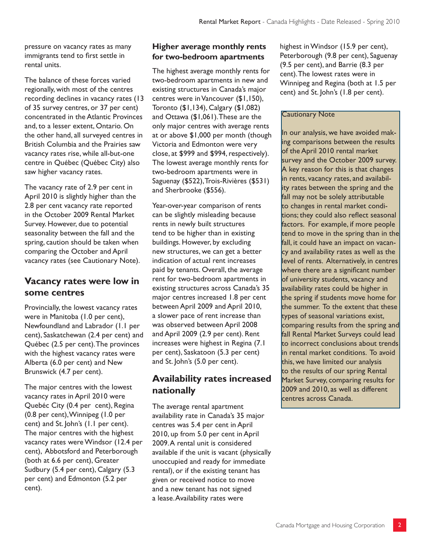pressure on vacancy rates as many immigrants tend to first settle in rental units.

The balance of these forces varied regionally, with most of the centres recording declines in vacancy rates (13 of 35 survey centres, or 37 per cent) concentrated in the Atlantic Provinces and, to a lesser extent, Ontario. On the other hand, all surveyed centres in British Columbia and the Prairies saw vacancy rates rise, while all-but-one centre in Québec (Québec City) also saw higher vacancy rates.

The vacancy rate of 2.9 per cent in April 2010 is slightly higher than the 2.8 per cent vacancy rate reported in the October 2009 Rental Market Survey. However, due to potential seasonality between the fall and the spring, caution should be taken when comparing the October and April vacancy rates (see Cautionary Note).

## **Vacancy rates were low in some centres**

Provincially, the lowest vacancy rates were in Manitoba (1.0 per cent), Newfoundland and Labrador (1.1 per cent), Saskatchewan (2.4 per cent) and Québec (2.5 per cent). The provinces with the highest vacancy rates were Alberta (6.0 per cent) and New Brunswick (4.7 per cent).

The major centres with the lowest vacancy rates in April 2010 were Quebéc City (0.4 per cent), Regina (0.8 per cent), Winnipeg (1.0 per cent) and St. John's (1.1 per cent). The major centres with the highest vacancy rates were Windsor (12.4 per cent), Abbotsford and Peterborough (both at 6.6 per cent), Greater Sudbury (5.4 per cent), Calgary (5.3 per cent) and Edmonton (5.2 per cent).

### **Higher average monthly rents for two-bedroom apartments**

The highest average monthly rents for two-bedroom apartments in new and existing structures in Canada's major centres were in Vancouver (\$1,150), Toronto (\$1,134), Calgary (\$1,082) and Ottawa (\$1,061). These are the only major centres with average rents at or above \$1,000 per month (though Victoria and Edmonton were very close, at \$999 and \$994, respectively). The lowest average monthly rents for two-bedroom apartments were in Saguenay (\$522), Trois-Rivières (\$531) and Sherbrooke (\$556).

Year-over-year comparison of rents can be slightly misleading because rents in newly built structures tend to be higher than in existing buildings. However, by excluding new structures, we can get a better indication of actual rent increases paid by tenants. Overall, the average rent for two-bedroom apartments in existing structures across Canada's 35 major centres increased 1.8 per cent between April 2009 and April 2010, a slower pace of rent increase than was observed between April 2008 and April 2009 (2.9 per cent). Rent increases were highest in Regina (7.1 per cent), Saskatoon (5.3 per cent) and St. John's (5.0 per cent).

# **Availability rates increased nationally**

The average rental apartment availability rate in Canada's 35 major centres was 5.4 per cent in April 2010, up from 5.0 per cent in April 2009. A rental unit is considered available if the unit is vacant (physically unoccupied and ready for immediate rental), or if the existing tenant has given or received notice to move and a new tenant has not signed a lease. Availability rates were

highest in Windsor (15.9 per cent), Peterborough (9.8 per cent), Saguenay (9.5 per cent), and Barrie (8.3 per cent). The lowest rates were in Winnipeg and Regina (both at 1.5 per cent) and St. John's (1.8 per cent).

### Cautionary Note

In our analysis, we have avoided making comparisons between the results of the April 2010 rental market survey and the October 2009 survey. A key reason for this is that changes in rents, vacancy rates, and availability rates between the spring and the fall may not be solely attributable to changes in rental market conditions; they could also reflect seasonal factors. For example, if more people tend to move in the spring than in the fall, it could have an impact on vacancy and availability rates as well as the level of rents. Alternatively, in centres where there are a significant number of university students, vacancy and availability rates could be higher in the spring if students move home for the summer. To the extent that these types of seasonal variations exist, comparing results from the spring and fall Rental Market Surveys could lead to incorrect conclusions about trends in rental market conditions. To avoid this, we have limited our analysis to the results of our spring Rental Market Survey, comparing results for 2009 and 2010, as well as different centres across Canada.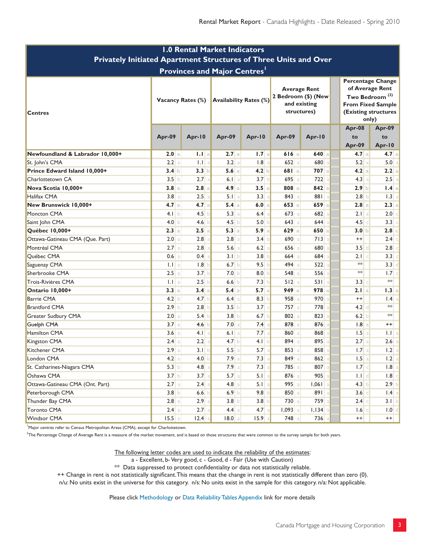| <b>1.0 Rental Market Indicators</b><br>Privately Initiated Apartment Structures of Three Units and Over |                          |                   |                               |                  |                                                                           |           |  |                                                                                                                                 |                   |  |                                     |
|---------------------------------------------------------------------------------------------------------|--------------------------|-------------------|-------------------------------|------------------|---------------------------------------------------------------------------|-----------|--|---------------------------------------------------------------------------------------------------------------------------------|-------------------|--|-------------------------------------|
|                                                                                                         |                          |                   |                               |                  |                                                                           |           |  |                                                                                                                                 |                   |  | <b>Provinces and Major Centres'</b> |
| <b>Centres</b>                                                                                          | <b>Vacancy Rates (%)</b> |                   | <b>Availability Rates (%)</b> |                  | <b>Average Rent</b><br>2 Bedroom (\$) (New<br>and existing<br>structures) |           |  | Percentage Change<br>of Average Rent<br>Two Bedroom <sup>(2)</sup><br><b>From Fixed Sample</b><br>(Existing structures<br>only) |                   |  |                                     |
|                                                                                                         | Apr-09                   | Apr-10            | Apr-09                        | Apr-10           | Apr-09                                                                    | Apr-10    |  | Apr-08<br>to                                                                                                                    | Apr-09<br>to      |  |                                     |
| Newfoundland & Labrador 10,000+                                                                         | 2.0 a                    | 1.1 <sub>a</sub>  | 2.7a                          | 1.7a             | 616a                                                                      | $640$ a   |  | Apr-09<br>4.7a                                                                                                                  | Apr-10<br>$4.7$ a |  |                                     |
| St. John's CMA                                                                                          | 2.2 a                    | $  \cdot  $<br>-a | 3.2 a                         | 1.8<br>a         | $652$ a                                                                   | 680 a     |  | 5.2a                                                                                                                            | 5.0 a             |  |                                     |
| Prince Edward Island 10,000+                                                                            | 3.4 b                    | 3.3 <sub>b</sub>  | 5.6a                          | 4.2 b            | 681a                                                                      | $707$ a   |  | 4.2a                                                                                                                            | $2.2$ a           |  |                                     |
| Charlottetown CA                                                                                        | 3.5 b                    | 2.7               | $6.1$ a                       | 3.7 <sub>b</sub> | 695a                                                                      | $722$ a   |  | 4.3 a                                                                                                                           | $2.5$ a           |  |                                     |
| Nova Scotia 10,000+                                                                                     | 3.8a                     | 2.8<br>a          | 4.9a                          | 3.5a             | $808$ a                                                                   | 842a      |  | 2.9 <sub>b</sub>                                                                                                                | $1.4$ a           |  |                                     |
| Halifax CMA                                                                                             | 3.8a                     | 2.5               | $5.1$ a                       | 3.3a             | $843$ a                                                                   | 881 a     |  | 2.8 <sub>b</sub>                                                                                                                | 1.3 a             |  |                                     |
| New Brunswick 10,000+                                                                                   | 4.7a                     | 4.7 a             | 5.4 a                         | 6.0 a            | $653$ a                                                                   | $659$ a   |  | $2.8$ a                                                                                                                         | $2.3$ a           |  |                                     |
| Moncton CMA                                                                                             | 4.1 b                    | 4.5               | 5.3a                          | $6.4$ a          | $673$ a                                                                   | $682$ a   |  | $2.1$ a                                                                                                                         | $2.0$ $\circ$     |  |                                     |
| Saint John CMA                                                                                          | 4.0 $\vert$              | 4.6               | 4.5 b                         | 5.0 b            | $643$ a                                                                   | $644$ a   |  | $4.5$ $\circ$                                                                                                                   | $3.3$ $\circ$     |  |                                     |
| Québec 10,000+                                                                                          | 2.3a                     | $2.5$ a           | 5.3 a                         | 5.9a             | 629a                                                                      | 650a      |  | 3.0 b                                                                                                                           | 2.8               |  |                                     |
| Ottawa-Gatineau CMA (Que. Part)                                                                         | 2.0 a                    | 2.8               | 2.8 a                         | 3.4 <sub>b</sub> | 690 a                                                                     | $713$ a   |  | $^{++}$                                                                                                                         | $2.4$ c           |  |                                     |
| Montréal CMA                                                                                            | $2.7$ a                  | 2.8               | $5.6$ a                       | 6.2 a            | $656$ a                                                                   | 680 a     |  | $3.5$ d                                                                                                                         | $2.8$ $\circ$     |  |                                     |
| Québec CMA                                                                                              | $0.6$ a                  | 0.4               | 3.1 b                         | 3.8 <sub>b</sub> | $664$ a                                                                   | $684$ a   |  | $2.1$ $\circ$                                                                                                                   | $3.3$ c           |  |                                     |
| Saguenay CMA                                                                                            | $1.1$ a                  | 1.8               | 6.7 b                         | 9.5 b            | 494 a                                                                     | 522a      |  | $*\ast$                                                                                                                         | $3.3$ d           |  |                                     |
| Sherbrooke CMA                                                                                          | $2.5$ a                  | 3.7               | 7.0 b                         | 8.0 <sub>b</sub> | $548$ a                                                                   | $556$ a   |  | $*\ast$                                                                                                                         | 1.7 c             |  |                                     |
| Trois-Rivières CMA                                                                                      | $ 1 $ a                  | 2.5               | 6.6 b                         | 7.3 b            | 512a                                                                      | $531$ a   |  | $3.3\degree$                                                                                                                    | $\ast\ast$        |  |                                     |
| Ontario 10,000+                                                                                         | 3.3a                     | 3.4 a             | 5.4a                          | 5.7a             | 949a                                                                      | 978a      |  | 2.1a                                                                                                                            | $1.3$ a           |  |                                     |
| <b>Barrie CMA</b>                                                                                       | 4.2 b                    | 4.7 <sub>b</sub>  | $6.4$ a                       | 8.3 <sub>b</sub> | 958a                                                                      | 970a      |  | $^{++}$                                                                                                                         | $1.4$ a           |  |                                     |
| <b>Brantford CMA</b>                                                                                    | 2.9 <sub>b</sub>         | 2.8               | 3.5 <sub>b</sub>              | $3.7$ $\circ$    | $757$ a                                                                   | 778 a     |  | $4.2$ d                                                                                                                         | $**$              |  |                                     |
| Greater Sudbury CMA                                                                                     | 2.0 a                    | $5.4$ b           | 3.8 <sub>b</sub>              | $6.7$ b          | $802$ a                                                                   | $823$ a   |  | 6.2 b                                                                                                                           | $**$              |  |                                     |
| Guelph CMA                                                                                              | 3.7 a                    | 4.6               | 7.0 a                         | 7.4a             | 878 a                                                                     | $876$ a   |  | 1.8a                                                                                                                            | $^{++}$           |  |                                     |
| Hamilton CMA                                                                                            | $3.6$ a                  | 4.1<br>a          | 6.1 a                         | $7.7$ a          | 860 a                                                                     | 868 a     |  | 1.5a                                                                                                                            | 1.1 <sub>a</sub>  |  |                                     |
| Kingston CMA                                                                                            | $2.4$ a                  | 2.2               | 4.7 b                         | 4.1 b            | $894$ a                                                                   | 895 a     |  | 2.7a                                                                                                                            | $2.6$ a           |  |                                     |
| Kitchener CMA                                                                                           | 2.9a                     | 3.1 <sub>b</sub>  | 5.5a                          | 5.7a             | 853a                                                                      | 858 a     |  | 1.7a                                                                                                                            | $1.2$ a           |  |                                     |
| London CMA                                                                                              | $4.2$ a                  | 4.0 <sub>b</sub>  | $7.9$ a                       | $7.3$ a          | 849 a                                                                     | $862$ a   |  | $1.5$ a                                                                                                                         | 1.2 a             |  |                                     |
| St. Catharines-Niagara CMA                                                                              | 5.3 b                    | 4.8               | $7.9$ a                       | 7.3              | 785 a                                                                     | $807$ a   |  | 1.7 c                                                                                                                           | $1.8$   a         |  |                                     |
| Oshawa CMA                                                                                              | 3.7 b                    | 3.7               | $5.7$ a                       | $5.1$ a          | $876$ a                                                                   | $905$ a   |  | $1.1$ d                                                                                                                         | 1.8               |  |                                     |
| Ottawa-Gatineau CMA (Ont. Part)                                                                         | $2.7$ a                  | 2.4               | $4.8$ a                       | $5.1$ a          | $995$ a                                                                   | $1,061$ a |  | 4.3 b                                                                                                                           | $2.9$ b           |  |                                     |
| Peterborough CMA                                                                                        | 3.8 <sub>b</sub>         | 6.6               | $6.9$ b                       | 9.8 <sub>b</sub> | 850 a                                                                     | 891a      |  | 3.6 c                                                                                                                           | $1.4$ a           |  |                                     |
| Thunder Bay CMA                                                                                         | $2.8$ a                  | 2.9               | 3.8 <sub>b</sub>              | 3.8 <sub>b</sub> | $730$ a                                                                   | 759 a     |  | $2.4$ $\circ$                                                                                                                   | 3.1 b             |  |                                     |
| <b>Toronto CMA</b>                                                                                      | $2.4 \text{ a}$          | 2.7               | $4.4$ a                       | $4.7$ a          | $1,093$ a                                                                 | $1,134$ a |  | $1.6$ c                                                                                                                         | 1.0               |  |                                     |
| Windsor CMA                                                                                             | $15.5$ a                 | 2.4               | 18.0 a                        | $15.9$ a         | $748$ a                                                                   | $736$ a   |  | $++$                                                                                                                            | $++$              |  |                                     |

<sup>1</sup>Major centres refer to Census Metropolitan Areas (CMA), except for Charlottetown.

<sup>2</sup>The Percentage Change of Average Rent is a measure of the market movement, and is based on those structures that were common to the survey sample for both years.

The following letter codes are used to indicate the reliability of the estimates:

a - Excellent, b-Very good, c - Good, d - Fair (Use with Caution)

\*\* Data suppressed to protect confidentiality or data not statistically reliable.

++ Change in rent is not statistically significant. This means that the change in rent is not statistically different than zero (0).

n/u: No units exist in the universe for this category. n/s: No units exist in the sample for this category. n/a: Not applicable.

Please click Methodology or Data Reliability Tables Appendix link for more details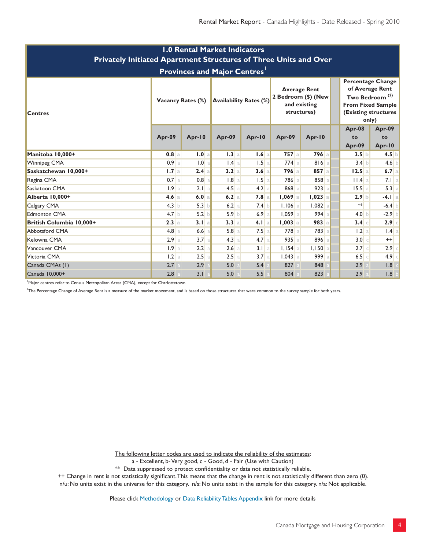| <b>1.0 Rental Market Indicators</b><br>Privately Initiated Apartment Structures of Three Units and Over |                          |                       |                               |         |                                                                           |            |                                                                                                                                        |                        |  |  |  |
|---------------------------------------------------------------------------------------------------------|--------------------------|-----------------------|-------------------------------|---------|---------------------------------------------------------------------------|------------|----------------------------------------------------------------------------------------------------------------------------------------|------------------------|--|--|--|
| <b>Provinces and Major Centres'</b>                                                                     |                          |                       |                               |         |                                                                           |            |                                                                                                                                        |                        |  |  |  |
| <b>Centres</b>                                                                                          | <b>Vacancy Rates (%)</b> |                       | <b>Availability Rates (%)</b> |         | <b>Average Rent</b><br>2 Bedroom (\$) (New<br>and existing<br>structures) |            | Percentage Change<br>of Average Rent<br>Two Bedroom <sup>(2)</sup><br><b>From Fixed Sample</b><br><b>(Existing structures</b><br>only) |                        |  |  |  |
|                                                                                                         | Apr-09                   | Apr-10                | Apr-09                        | Apr-10  | Apr-09                                                                    | Apr-10     | Apr-08<br>to<br>Apr-09                                                                                                                 | Apr-09<br>to<br>Apr-10 |  |  |  |
| Manitoba 10,000+                                                                                        | $0.8$ a                  | 1.0 a                 | 1.3a                          | 1.6a    | $757$ a                                                                   | $796$ a    | 3.5 <sub>b</sub>                                                                                                                       | $4.5$ b                |  |  |  |
| <b>Winnipeg CMA</b>                                                                                     | $0.9$ a                  | 1.0<br>$\overline{a}$ | $1.4$ a                       | 1.5a    | $774$ a                                                                   | $816$ a    | 3.4 b                                                                                                                                  | $4.6$ b                |  |  |  |
| Saskatchewan 10,000+                                                                                    | 1.7a                     | 2.4a                  | 3.2 a                         | 3.6a    | $796$ a                                                                   | $857$ a    | 12.5a                                                                                                                                  | $6.7$ a                |  |  |  |
| Regina CMA                                                                                              | $0.7$ a                  | 0.8                   | $1.8$ a                       | 1.5a    | 786 a                                                                     | 858 a      | II.4a                                                                                                                                  | $7.1$ a                |  |  |  |
| Saskatoon CMA                                                                                           | 1.9a                     | $2.1$ a               | $4.5$ a                       | 4.2 a   | 868 a                                                                     | $923$ a    | 15.5a                                                                                                                                  | 5.3 a                  |  |  |  |
| Alberta 10,000+                                                                                         | 4.6 a                    | 6.0 a                 | 6.2a                          | 7.8a    | $1,069$ a                                                                 | $1,023$ a  | 2.9 b                                                                                                                                  | $-4.1$ a               |  |  |  |
| Calgary CMA                                                                                             | $4.3$ b                  | 5.3<br>b              | $6.2$ a                       | 7.4 b   | $1,106$ a                                                                 | $1,082$ a  | $*$                                                                                                                                    | $-6.4$ b               |  |  |  |
| <b>Edmonton CMA</b>                                                                                     | 4.7 <sub>b</sub>         | 5.2                   | 5.9 b                         | 6.9a    | $1,059$ a                                                                 | $994$ a    | 4.0 b                                                                                                                                  | $-2.9$ b               |  |  |  |
| British Columbia 10,000+                                                                                | 2.3a                     | 3.1 a                 | 3.3 a                         | 4.1 a   | $1,003$ a                                                                 | $983$ a    | $3.4$ c                                                                                                                                | $2.9$ c                |  |  |  |
| <b>Abbotsford CMA</b>                                                                                   | $4.8$ a                  | 6.6                   | 5.8 a                         | $7.5$ a | 778 a                                                                     | 783 a      | 1.2 a                                                                                                                                  | $1.4$ a                |  |  |  |
| Kelowna CMA                                                                                             | 2.9a                     | 3.7<br>a              | 4.3 a                         | 4.7a    | 935a                                                                      | 896 al     | 3.0 <sub>c</sub>                                                                                                                       | $^{++}$                |  |  |  |
| Vancouver CMA                                                                                           | 1.9a                     | 2.2<br>$\overline{a}$ | $2.6$ a                       | $3.1$ a | $1,154$ a                                                                 | $I, I50$ a | $2.7$ c                                                                                                                                | $2.9$ c                |  |  |  |
| Victoria CMA                                                                                            | 1.2 a                    | 2.5                   | 2.5 a                         | 3.7a    | $1,043$ a                                                                 | 999a       | $6.5$ $\circ$                                                                                                                          | $4.9$ c                |  |  |  |
| Canada CMAs (1)                                                                                         | 2.7                      | 2.9                   | 5.0                           | 5.4     | 827                                                                       | 848        | 2.9                                                                                                                                    | 1.8                    |  |  |  |
| Canada 10,000+                                                                                          | 2.8                      | 3.1                   | 5.0                           | 5.5     | 804                                                                       | 823        | 2.9                                                                                                                                    | 1.8 b                  |  |  |  |

<sup>1</sup>Major centres refer to Census Metropolitan Areas (CMA), except for Charlottetown.

<sup>2</sup>The Percentage Change of Average Rent is a measure of the market movement, and is based on those structures that were common to the survey sample for both years.

The following letter codes are used to indicate the reliability of the estimates:

a - Excellent, b-Very good, c - Good, d - Fair (Use with Caution)

\*\* Data suppressed to protect confidentiality or data not statistically reliable.

++ Change in rent is not statistically significant. This means that the change in rent is not statistically different than zero (0).

n/u: No units exist in the universe for this category. n/s: No units exist in the sample for this category. n/a: Not applicable.

Please click Methodology or Data Reliability Tables Appendix link for more details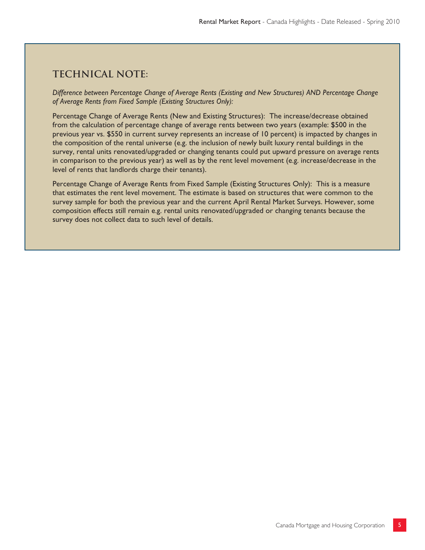### **Technical note:**

*Difference between Percentage Change of Average Rents (Existing and New Structures) AND Percentage Change of Average Rents from Fixed Sample (Existing Structures Only):*

Percentage Change of Average Rents (New and Existing Structures): The increase/decrease obtained from the calculation of percentage change of average rents between two years (example: \$500 in the previous year vs. \$550 in current survey represents an increase of 10 percent) is impacted by changes in the composition of the rental universe (e.g. the inclusion of newly built luxury rental buildings in the survey, rental units renovated/upgraded or changing tenants could put upward pressure on average rents in comparison to the previous year) as well as by the rent level movement (e.g. increase/decrease in the level of rents that landlords charge their tenants).

Percentage Change of Average Rents from Fixed Sample (Existing Structures Only): This is a measure that estimates the rent level movement. The estimate is based on structures that were common to the survey sample for both the previous year and the current April Rental Market Surveys. However, some composition effects still remain e.g. rental units renovated/upgraded or changing tenants because the survey does not collect data to such level of details.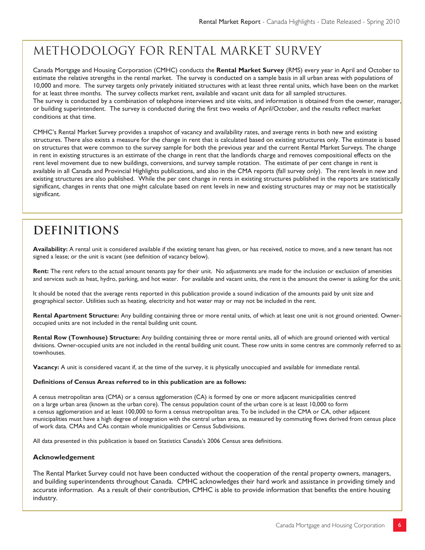# METHODOLOGY FOR RENTAL MARKET SURVEY

Canada Mortgage and Housing Corporation (CMHC) conducts the **Rental Market Survey** (RMS) every year in April and October to estimate the relative strengths in the rental market. The survey is conducted on a sample basis in all urban areas with populations of 10,000 and more. The survey targets only privately initiated structures with at least three rental units, which have been on the market for at least three months. The survey collects market rent, available and vacant unit data for all sampled structures. The survey is conducted by a combination of telephone interviews and site visits, and information is obtained from the owner, manager, or building superintendent. The survey is conducted during the first two weeks of April/October, and the results reflect market conditions at that time.

CMHC's Rental Market Survey provides a snapshot of vacancy and availability rates, and average rents in both new and existing structures. There also exists a measure for the change in rent that is calculated based on existing structures only. The estimate is based on structures that were common to the survey sample for both the previous year and the current Rental Market Surveys. The change in rent in existing structures is an estimate of the change in rent that the landlords charge and removes compositional effects on the rent level movement due to new buildings, conversions, and survey sample rotation. The estimate of per cent change in rent is available in all Canada and Provincial Highlights publications, and also in the CMA reports (fall survey only). The rent levels in new and existing structures are also published. While the per cent change in rents in existing structures published in the reports are statistically significant, changes in rents that one might calculate based on rent levels in new and existing structures may or may not be statistically significant.

# **Definitions**

**Availability:** A rental unit is considered available if the existing tenant has given, or has received, notice to move, and a new tenant has not signed a lease; or the unit is vacant (see definition of vacancy below).

**Rent:** The rent refers to the actual amount tenants pay for their unit. No adjustments are made for the inclusion or exclusion of amenities and services such as heat, hydro, parking, and hot water. For available and vacant units, the rent is the amount the owner is asking for the unit.

It should be noted that the average rents reported in this publication provide a sound indication of the amounts paid by unit size and geographical sector. Utilities such as heating, electricity and hot water may or may not be included in the rent.

Rental Apartment Structure: Any building containing three or more rental units, of which at least one unit is not ground oriented. Owneroccupied units are not included in the rental building unit count.

**Rental Row (Townhouse) Structure:** Any building containing three or more rental units, all of which are ground oriented with vertical divisions. Owner-occupied units are not included in the rental building unit count. These row units in some centres are commonly referred to as townhouses.

**Vacancy:** A unit is considered vacant if, at the time of the survey, it is physically unoccupied and available for immediate rental.

#### **Definitions of Census Areas referred to in this publication are as follows:**

A census metropolitan area (CMA) or a census agglomeration (CA) is formed by one or more adjacent municipalities centred on a large urban area (known as the urban core). The census population count of the urban core is at least 10,000 to form a census agglomeration and at least 100,000 to form a census metropolitan area. To be included in the CMA or CA, other adjacent municipalities must have a high degree of integration with the central urban area, as measured by commuting flows derived from census place of work data. CMAs and CAs contain whole municipalities or Census Subdivisions.

All data presented in this publication is based on Statistics Canada's 2006 Census area definitions.

#### **Acknowledgement**

The Rental Market Survey could not have been conducted without the cooperation of the rental property owners, managers, and building superintendents throughout Canada. CMHC acknowledges their hard work and assistance in providing timely and accurate information. As a result of their contribution, CMHC is able to provide information that benefits the entire housing industry.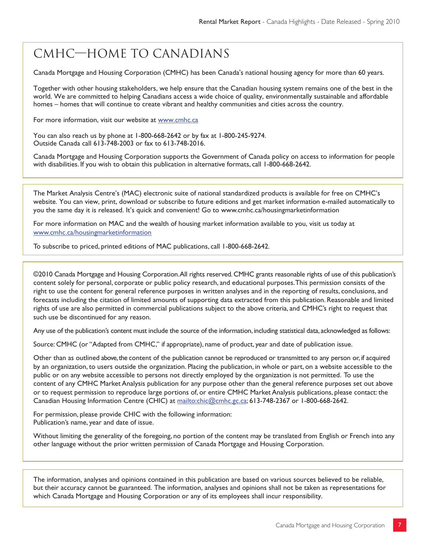# CMHC—Home to Canadians

Canada Mortgage and Housing Corporation (CMHC) has been Canada's national housing agency for more than 60 years.

Together with other housing stakeholders, we help ensure that the Canadian housing system remains one of the best in the world. We are committed to helping Canadians access a wide choice of quality, environmentally sustainable and affordable homes – homes that will continue to create vibrant and healthy communities and cities across the country.

For more information, visit our website at www.cmhc.ca

You can also reach us by phone at 1-800-668-2642 or by fax at 1-800-245-9274. Outside Canada call 613-748-2003 or fax to 613-748-2016.

Canada Mortgage and Housing Corporation supports the Government of Canada policy on access to information for people with disabilities. If you wish to obtain this publication in alternative formats, call 1-800-668-2642.

The Market Analysis Centre's (MAC) electronic suite of national standardized products is available for free on CMHC's website. You can view, print, download or subscribe to future editions and get market information e-mailed automatically to you the same day it is released. It's quick and convenient! Go to www.cmhc.ca/housingmarketinformation

For more information on MAC and the wealth of housing market information available to you, visit us today at www.cmhc.ca/housingmarketinformation

To subscribe to priced, printed editions of MAC publications, call 1-800-668-2642.

©2010 Canada Mortgage and Housing Corporation. All rights reserved. CMHC grants reasonable rights of use of this publication's content solely for personal, corporate or public policy research, and educational purposes. This permission consists of the right to use the content for general reference purposes in written analyses and in the reporting of results, conclusions, and forecasts including the citation of limited amounts of supporting data extracted from this publication. Reasonable and limited rights of use are also permitted in commercial publications subject to the above criteria, and CMHC's right to request that such use be discontinued for any reason.

Any use of the publication's content must include the source of the information, including statistical data, acknowledged as follows:

Source: CMHC (or "Adapted from CMHC," if appropriate), name of product, year and date of publication issue.

Other than as outlined above, the content of the publication cannot be reproduced or transmitted to any person or, if acquired by an organization, to users outside the organization. Placing the publication, in whole or part, on a website accessible to the public or on any website accessible to persons not directly employed by the organization is not permitted. To use the content of any CMHC Market Analysis publication for any purpose other than the general reference purposes set out above or to request permission to reproduce large portions of, or entire CMHC Market Analysis publications, please contact: the Canadian Housing Information Centre (CHIC) at mailto:chic@cmhc.gc.ca; 613-748-2367 or 1-800-668-2642.

For permission, please provide CHIC with the following information: Publication's name, year and date of issue.

Without limiting the generality of the foregoing, no portion of the content may be translated from English or French into any other language without the prior written permission of Canada Mortgage and Housing Corporation.

The information, analyses and opinions contained in this publication are based on various sources believed to be reliable, but their accuracy cannot be guaranteed. The information, analyses and opinions shall not be taken as representations for which Canada Mortgage and Housing Corporation or any of its employees shall incur responsibility.